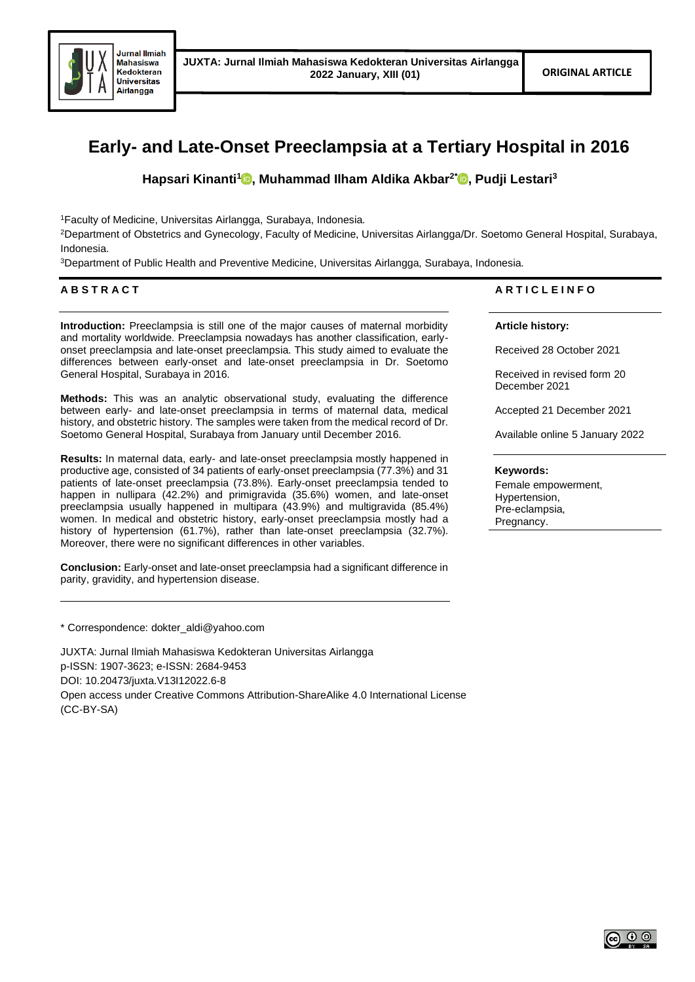

# **Early- and Late-Onset Preeclampsia at a Tertiary Hospital in 2016**

**Hapsari Kinanti[1](https://orcid.org/0000-0001-9267-3701) , Muhammad Ilham Aldika Akbar2[\\*](https://orcid.org/0000-0002-2003-9282) , Pudji Lestari<sup>3</sup>**

<sup>1</sup>Faculty of Medicine, Universitas Airlangga, Surabaya, Indonesia.

<sup>2</sup>Department of Obstetrics and Gynecology, Faculty of Medicine, Universitas Airlangga/Dr. Soetomo General Hospital, Surabaya, Indonesia.

<sup>3</sup>Department of Public Health and Preventive Medicine, Universitas Airlangga, Surabaya, Indonesia.

# **A B S T R A C T**

**Introduction:** Preeclampsia is still one of the major causes of maternal morbidity and mortality worldwide. Preeclampsia nowadays has another classification, earlyonset preeclampsia and late-onset preeclampsia. This study aimed to evaluate the differences between early-onset and late-onset preeclampsia in Dr. Soetomo General Hospital, Surabaya in 2016.

**Methods:** This was an analytic observational study, evaluating the difference between early- and late-onset preeclampsia in terms of maternal data, medical history, and obstetric history. The samples were taken from the medical record of Dr. Soetomo General Hospital, Surabaya from January until December 2016.

**Results:** In maternal data, early- and late-onset preeclampsia mostly happened in productive age, consisted of 34 patients of early-onset preeclampsia (77.3%) and 31 patients of late-onset preeclampsia (73.8%). Early-onset preeclampsia tended to happen in nullipara (42.2%) and primigravida (35.6%) women, and late-onset preeclampsia usually happened in multipara (43.9%) and multigravida (85.4%) women. In medical and obstetric history, early-onset preeclampsia mostly had a history of hypertension (61.7%), rather than late-onset preeclampsia (32.7%). Moreover, there were no significant differences in other variables.

**Conclusion:** Early-onset and late-onset preeclampsia had a significant difference in parity, gravidity, and hypertension disease.

\* Correspondence: dokter\_aldi@yahoo.com

JUXTA: Jurnal Ilmiah Mahasiswa Kedokteran Universitas Airlangga p-ISSN: 1907-3623; e-ISSN: 2684-9453 DOI: 10.20473/juxta.V13I12022.6-8 Open access under Creative Commons Attribution-ShareAlike 4.0 International License (CC-BY-SA)

# **A R T I C L E I N F O**

**Article history:**

Received 28 October 2021

Received in revised form 20 December 2021

Accepted 21 December 2021

Available online 5 January 2022

# **Keywords:**

Female empowerment, Hypertension, Pre-eclampsia, Pregnancy.

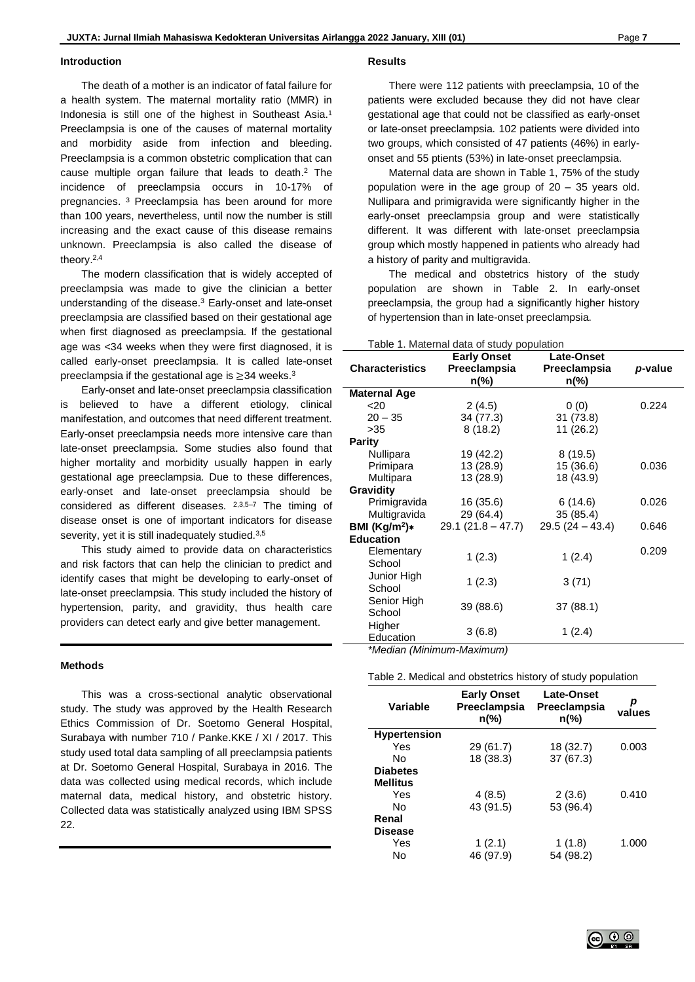#### **Introduction**

The death of a mother is an indicator of fatal failure for a health system. The maternal mortality ratio (MMR) in Indonesia is still one of the highest in Southeast Asia. 1 Preeclampsia is one of the causes of maternal mortality and morbidity aside from infection and bleeding. Preeclampsia is a common obstetric complication that can cause multiple organ failure that leads to death. <sup>2</sup> The incidence of preeclampsia occurs in 10-17% of pregnancies. <sup>3</sup> Preeclampsia has been around for more than 100 years, nevertheless, until now the number is still increasing and the exact cause of this disease remains unknown. Preeclampsia is also called the disease of theory. 2,4

The modern classification that is widely accepted of preeclampsia was made to give the clinician a better understanding of the disease. <sup>3</sup> Early-onset and late-onset preeclampsia are classified based on their gestational age when first diagnosed as preeclampsia. If the gestational age was <34 weeks when they were first diagnosed, it is called early-onset preeclampsia. It is called late-onset preeclampsia if the gestational age is ≥34 weeks.<sup>3</sup>

Early-onset and late-onset preeclampsia classification is believed to have a different etiology, clinical manifestation, and outcomes that need different treatment. Early-onset preeclampsia needs more intensive care than late-onset preeclampsia. Some studies also found that higher mortality and morbidity usually happen in early gestational age preeclampsia. Due to these differences, early-onset and late-onset preeclampsia should be considered as different diseases. 2,3,5–7 The timing of disease onset is one of important indicators for disease severity, yet it is still inadequately studied.<sup>3,5</sup>

This study aimed to provide data on characteristics and risk factors that can help the clinician to predict and identify cases that might be developing to early-onset of late-onset preeclampsia. This study included the history of hypertension, parity, and gravidity, thus health care providers can detect early and give better management.

## **Methods**

This was a cross-sectional analytic observational study. The study was approved by the Health Research Ethics Commission of Dr. Soetomo General Hospital, Surabaya with number 710 / Panke.KKE / XI / 2017. This study used total data sampling of all preeclampsia patients at Dr. Soetomo General Hospital, Surabaya in 2016. The data was collected using medical records, which include maternal data, medical history, and obstetric history. Collected data was statistically analyzed using IBM SPSS 22.

#### **Results**

There were 112 patients with preeclampsia, 10 of the patients were excluded because they did not have clear gestational age that could not be classified as early-onset or late-onset preeclampsia. 102 patients were divided into two groups, which consisted of 47 patients (46%) in earlyonset and 55 ptients (53%) in late-onset preeclampsia.

Maternal data are shown in Table 1, 75% of the study population were in the age group of 20 – 35 years old. Nullipara and primigravida were significantly higher in the early-onset preeclampsia group and were statistically different. It was different with late-onset preeclampsia group which mostly happened in patients who already had a history of parity and multigravida.

The medical and obstetrics history of the study population are shown in Table 2. In early-onset preeclampsia, the group had a significantly higher history of hypertension than in late-onset preeclampsia.

Table 1. Maternal data of study population

|                        | <b>Early Onset</b>  | <b>Late-Onset</b> |         |
|------------------------|---------------------|-------------------|---------|
| <b>Characteristics</b> | Preeclampsia        | Preeclampsia      | p-value |
|                        | n(%)                | n(%)              |         |
| <b>Maternal Age</b>    |                     |                   |         |
| $20$                   | 2(4.5)              | 0(0)              | 0.224   |
| $20 - 35$              | 34 (77.3)           | 31 (73.8)         |         |
| >35                    | 8(18.2)             | 11(26.2)          |         |
| <b>Parity</b>          |                     |                   |         |
| Nullipara              | 19 (42.2)           | 8(19.5)           |         |
| Primipara              | 13 (28.9)           | 15 (36.6)         | 0.036   |
| Multipara              | 13 (28.9)           | 18 (43.9)         |         |
| Gravidity              |                     |                   |         |
| Primigravida           | 16 (35.6)           | 6(14.6)           | 0.026   |
| Multigravida           | 29 (64.4)           | 35(85.4)          |         |
| BMI $(Kg/m2)*$         | $29.1(21.8 - 47.7)$ | $29.5(24 - 43.4)$ | 0.646   |
| <b>Education</b>       |                     |                   |         |
| Elementary<br>School   | 1(2.3)              | 1(2.4)            | 0.209   |
| Junior High<br>School  | 1(2.3)              | 3(71)             |         |
| Senior High<br>School  | 39 (88.6)           | 37 (88.1)         |         |
| Higher<br>Education    | 3(6.8)              | 1(2.4)            |         |

*\*Median (Minimum-Maximum)*

#### Table 2. Medical and obstetrics history of study population

| Variable            | <b>Early Onset</b><br>Preeclampsia<br>$n\frac{6}{6}$ | <b>Late-Onset</b><br>Preeclampsia<br>$n\frac{9}{6}$ | р<br>values |
|---------------------|------------------------------------------------------|-----------------------------------------------------|-------------|
| <b>Hypertension</b> |                                                      |                                                     |             |
| Yes                 | 29 (61.7)                                            | 18 (32.7)                                           | 0.003       |
| N٥                  | 18 (38.3)                                            | 37 (67.3)                                           |             |
| <b>Diabetes</b>     |                                                      |                                                     |             |
| <b>Mellitus</b>     |                                                      |                                                     |             |
| Yes                 | 4(8.5)                                               | 2(3.6)                                              | 0.410       |
| Nο                  | 43 (91.5)                                            | 53 (96.4)                                           |             |
| Renal               |                                                      |                                                     |             |
| <b>Disease</b>      |                                                      |                                                     |             |
| Yes                 | 1(2.1)                                               | 1(1.8)                                              | 1.000       |
| No                  | 46 (97.9)                                            | 54 (98.2)                                           |             |